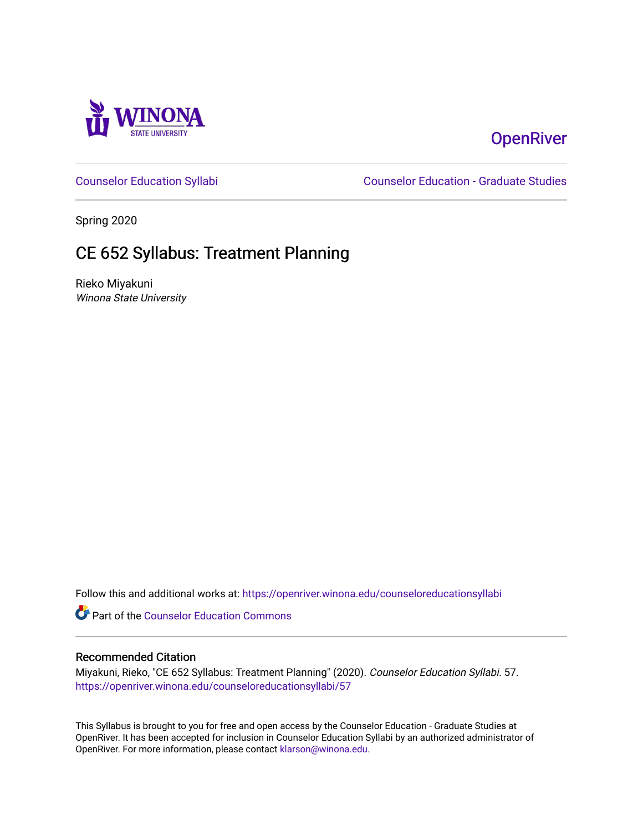

# **OpenRiver**

[Counselor Education Syllabi](https://openriver.winona.edu/counseloreducationsyllabi) [Counselor Education - Graduate Studies](https://openriver.winona.edu/counseloreducation) 

Spring 2020

# CE 652 Syllabus: Treatment Planning

Rieko Miyakuni Winona State University

Follow this and additional works at: [https://openriver.winona.edu/counseloreducationsyllabi](https://openriver.winona.edu/counseloreducationsyllabi?utm_source=openriver.winona.edu%2Fcounseloreducationsyllabi%2F57&utm_medium=PDF&utm_campaign=PDFCoverPages)

Part of the [Counselor Education Commons](http://network.bepress.com/hgg/discipline/1278?utm_source=openriver.winona.edu%2Fcounseloreducationsyllabi%2F57&utm_medium=PDF&utm_campaign=PDFCoverPages) 

## Recommended Citation

Miyakuni, Rieko, "CE 652 Syllabus: Treatment Planning" (2020). Counselor Education Syllabi. 57. [https://openriver.winona.edu/counseloreducationsyllabi/57](https://openriver.winona.edu/counseloreducationsyllabi/57?utm_source=openriver.winona.edu%2Fcounseloreducationsyllabi%2F57&utm_medium=PDF&utm_campaign=PDFCoverPages) 

This Syllabus is brought to you for free and open access by the Counselor Education - Graduate Studies at OpenRiver. It has been accepted for inclusion in Counselor Education Syllabi by an authorized administrator of OpenRiver. For more information, please contact [klarson@winona.edu](mailto:klarson@winona.edu).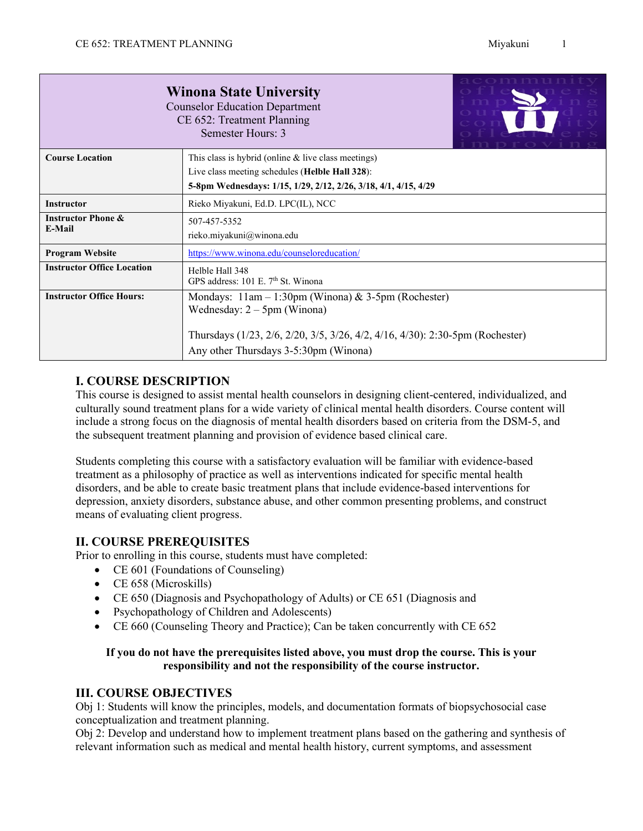|                                                                                                                            | acommun<br><b>Winona State University</b><br><b>Counselor Education Department</b><br>CE 652: Treatment Planning<br>Semester Hours: 3 |  |  |
|----------------------------------------------------------------------------------------------------------------------------|---------------------------------------------------------------------------------------------------------------------------------------|--|--|
| <b>Course Location</b>                                                                                                     | This class is hybrid (online $&$ live class meetings)                                                                                 |  |  |
|                                                                                                                            | Live class meeting schedules (Helble Hall 328):<br>5-8pm Wednesdays: 1/15, 1/29, 2/12, 2/26, 3/18, 4/1, 4/15, 4/29                    |  |  |
| <b>Instructor</b>                                                                                                          | Rieko Miyakuni, Ed.D. LPC(IL), NCC                                                                                                    |  |  |
| <b>Instructor Phone &amp;</b><br>507-457-5352<br>E-Mail<br>rieko.miyakuni@winona.edu                                       |                                                                                                                                       |  |  |
| <b>Program Website</b><br>https://www.winona.edu/counseloreducation/                                                       |                                                                                                                                       |  |  |
| <b>Instructor Office Location</b><br>Helble Hall 348<br>GPS address: 101 E. 7th St. Winona                                 |                                                                                                                                       |  |  |
| <b>Instructor Office Hours:</b><br>Mondays: $11am - 1:30pm$ (Winona) & 3-5pm (Rochester)<br>Wednesday: $2 - 5$ pm (Winona) |                                                                                                                                       |  |  |
| Thursdays (1/23, 2/6, 2/20, 3/5, 3/26, 4/2, 4/16, 4/30): 2:30-5pm (Rochester)<br>Any other Thursdays 3-5:30pm (Winona)     |                                                                                                                                       |  |  |

## **I. COURSE DESCRIPTION**

This course is designed to assist mental health counselors in designing client-centered, individualized, and culturally sound treatment plans for a wide variety of clinical mental health disorders. Course content will include a strong focus on the diagnosis of mental health disorders based on criteria from the DSM-5, and the subsequent treatment planning and provision of evidence based clinical care.

Students completing this course with a satisfactory evaluation will be familiar with evidence-based treatment as a philosophy of practice as well as interventions indicated for specific mental health disorders, and be able to create basic treatment plans that include evidence-based interventions for depression, anxiety disorders, substance abuse, and other common presenting problems, and construct means of evaluating client progress.

## **II. COURSE PREREQUISITES**

Prior to enrolling in this course, students must have completed:

- CE 601 (Foundations of Counseling)
- CE 658 (Microskills)
- CE 650 (Diagnosis and Psychopathology of Adults) or CE 651 (Diagnosis and
- Psychopathology of Children and Adolescents)
- CE 660 (Counseling Theory and Practice); Can be taken concurrently with CE 652

## **If you do not have the prerequisites listed above, you must drop the course. This is your responsibility and not the responsibility of the course instructor.**

## **III. COURSE OBJECTIVES**

Obj 1: Students will know the principles, models, and documentation formats of biopsychosocial case conceptualization and treatment planning.

Obj 2: Develop and understand how to implement treatment plans based on the gathering and synthesis of relevant information such as medical and mental health history, current symptoms, and assessment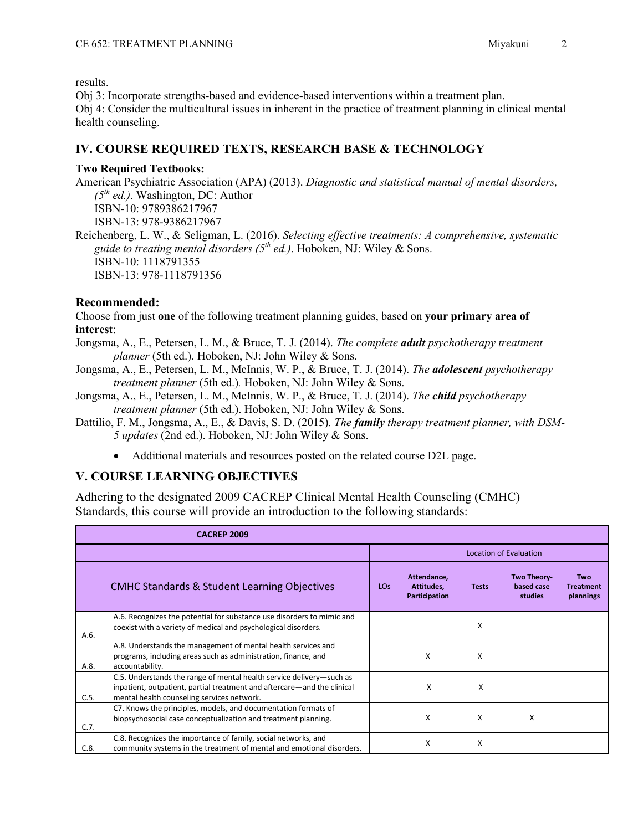results.

Obj 3: Incorporate strengths-based and evidence-based interventions within a treatment plan. Obj 4: Consider the multicultural issues in inherent in the practice of treatment planning in clinical mental health counseling.

## **IV. COURSE REQUIRED TEXTS, RESEARCH BASE & TECHNOLOGY**

#### **Two Required Textbooks:**

American Psychiatric Association (APA) (2013). *Diagnostic and statistical manual of mental disorders, (5th ed.)*. Washington, DC: Author ISBN-10: 9789386217967 ISBN-13: 978-9386217967

Reichenberg, L. W., & Seligman, L. (2016). *Selecting effective treatments: A comprehensive, systematic guide to treating mental disorders (5th ed.)*. Hoboken, NJ: Wiley & Sons. ISBN-10: 1118791355 ISBN-13: 978-1118791356

## **Recommended:**

Choose from just **one** of the following treatment planning guides, based on **your primary area of interest**:

- Jongsma, A., E., Petersen, L. M., & Bruce, T. J. (2014). *The complete adult psychotherapy treatment planner* (5th ed.). Hoboken, NJ: John Wiley & Sons.
- Jongsma, A., E., Petersen, L. M., McInnis, W. P., & Bruce, T. J. (2014). *The adolescent psychotherapy treatment planner* (5th ed.)*.* Hoboken, NJ: John Wiley & Sons.
- Jongsma, A., E., Petersen, L. M., McInnis, W. P., & Bruce, T. J. (2014). *The child psychotherapy treatment planner* (5th ed.). Hoboken, NJ: John Wiley & Sons.
- Dattilio, F. M., Jongsma, A., E., & Davis, S. D. (2015). *The family therapy treatment planner, with DSM-5 updates* (2nd ed.). Hoboken, NJ: John Wiley & Sons.
	- Additional materials and resources posted on the related course D2L page.

## **V. COURSE LEARNING OBJECTIVES**

Adhering to the designated 2009 CACREP Clinical Mental Health Counseling (CMHC) Standards, this course will provide an introduction to the following standards:

|      | <b>CACREP 2009</b>                                                                                                                                                                            |                 |                                            |              |                                      |                                      |
|------|-----------------------------------------------------------------------------------------------------------------------------------------------------------------------------------------------|-----------------|--------------------------------------------|--------------|--------------------------------------|--------------------------------------|
|      |                                                                                                                                                                                               |                 |                                            |              | <b>Location of Evaluation</b>        |                                      |
|      | <b>CMHC Standards &amp; Student Learning Objectives</b>                                                                                                                                       | LO <sub>S</sub> | Attendance,<br>Attitudes,<br>Participation | <b>Tests</b> | Two Theory-<br>based case<br>studies | Two<br><b>Treatment</b><br>plannings |
| A.6. | A.6. Recognizes the potential for substance use disorders to mimic and<br>coexist with a variety of medical and psychological disorders.                                                      |                 |                                            | X            |                                      |                                      |
| A.8. | A.8. Understands the management of mental health services and<br>programs, including areas such as administration, finance, and<br>accountability.                                            |                 | X                                          | X            |                                      |                                      |
| C.5. | C.5. Understands the range of mental health service delivery-such as<br>inpatient, outpatient, partial treatment and aftercare—and the clinical<br>mental health counseling services network. |                 | X                                          | X            |                                      |                                      |
| C.7. | C7. Knows the principles, models, and documentation formats of<br>biopsychosocial case conceptualization and treatment planning.                                                              |                 | X                                          | X            | x                                    |                                      |
| C.8. | C.8. Recognizes the importance of family, social networks, and<br>community systems in the treatment of mental and emotional disorders.                                                       |                 | X                                          | X            |                                      |                                      |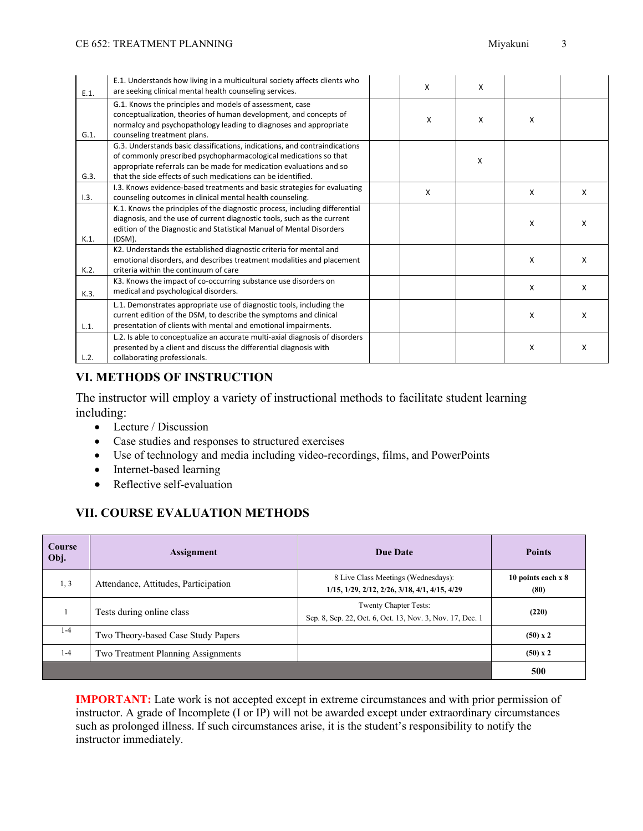| E.1.    | E.1. Understands how living in a multicultural society affects clients who<br>are seeking clinical mental health counseling services.                                                                                                                                                 | $\mathsf{x}$ | X            |   |   |
|---------|---------------------------------------------------------------------------------------------------------------------------------------------------------------------------------------------------------------------------------------------------------------------------------------|--------------|--------------|---|---|
| G.1.    | G.1. Knows the principles and models of assessment, case<br>conceptualization, theories of human development, and concepts of<br>normalcy and psychopathology leading to diagnoses and appropriate<br>counseling treatment plans.                                                     | X            | $\mathsf{x}$ | X |   |
| G.3.    | G.3. Understands basic classifications, indications, and contraindications<br>of commonly prescribed psychopharmacological medications so that<br>appropriate referrals can be made for medication evaluations and so<br>that the side effects of such medications can be identified. |              | X            |   |   |
| 1.3.    | I.3. Knows evidence-based treatments and basic strategies for evaluating<br>counseling outcomes in clinical mental health counseling.                                                                                                                                                 | X            |              | X | X |
| $K.1$ . | K.1. Knows the principles of the diagnostic process, including differential<br>diagnosis, and the use of current diagnostic tools, such as the current<br>edition of the Diagnostic and Statistical Manual of Mental Disorders<br>(DSM).                                              |              |              | X | X |
| K.2.    | K2. Understands the established diagnostic criteria for mental and<br>emotional disorders, and describes treatment modalities and placement<br>criteria within the continuum of care                                                                                                  |              |              | X | X |
| K.3.    | K3. Knows the impact of co-occurring substance use disorders on<br>medical and psychological disorders.                                                                                                                                                                               |              |              | X | X |
| L.1.    | L.1. Demonstrates appropriate use of diagnostic tools, including the<br>current edition of the DSM, to describe the symptoms and clinical<br>presentation of clients with mental and emotional impairments.                                                                           |              |              | X | X |
| L.2.    | L.2. Is able to conceptualize an accurate multi-axial diagnosis of disorders<br>presented by a client and discuss the differential diagnosis with<br>collaborating professionals.                                                                                                     |              |              | X | X |

## **VI. METHODS OF INSTRUCTION**

The instructor will employ a variety of instructional methods to facilitate student learning including:

- Lecture / Discussion
- Case studies and responses to structured exercises
- Use of technology and media including video-recordings, films, and PowerPoints
- Internet-based learning
- Reflective self-evaluation

## **VII. COURSE EVALUATION METHODS**

| Course<br>Obj. | <b>Assignment</b>                    | <b>Due Date</b>                                                                      | <b>Points</b>                |
|----------------|--------------------------------------|--------------------------------------------------------------------------------------|------------------------------|
| 1, 3           | Attendance, Attitudes, Participation | 8 Live Class Meetings (Wednesdays):<br>1/15, 1/29, 2/12, 2/26, 3/18, 4/1, 4/15, 4/29 | 10 points each $x 8$<br>(80) |
|                | Tests during online class            | Twenty Chapter Tests:<br>Sep. 8, Sep. 22, Oct. 6, Oct. 13, Nov. 3, Nov. 17, Dec. 1   | (220)                        |
| $1 - 4$        | Two Theory-based Case Study Papers   |                                                                                      | $(50) \times 2$              |
| $1 - 4$        | Two Treatment Planning Assignments   |                                                                                      | $(50)$ x 2                   |
|                |                                      |                                                                                      | 500                          |

**IMPORTANT:** Late work is not accepted except in extreme circumstances and with prior permission of instructor. A grade of Incomplete (I or IP) will not be awarded except under extraordinary circumstances such as prolonged illness. If such circumstances arise, it is the student's responsibility to notify the instructor immediately.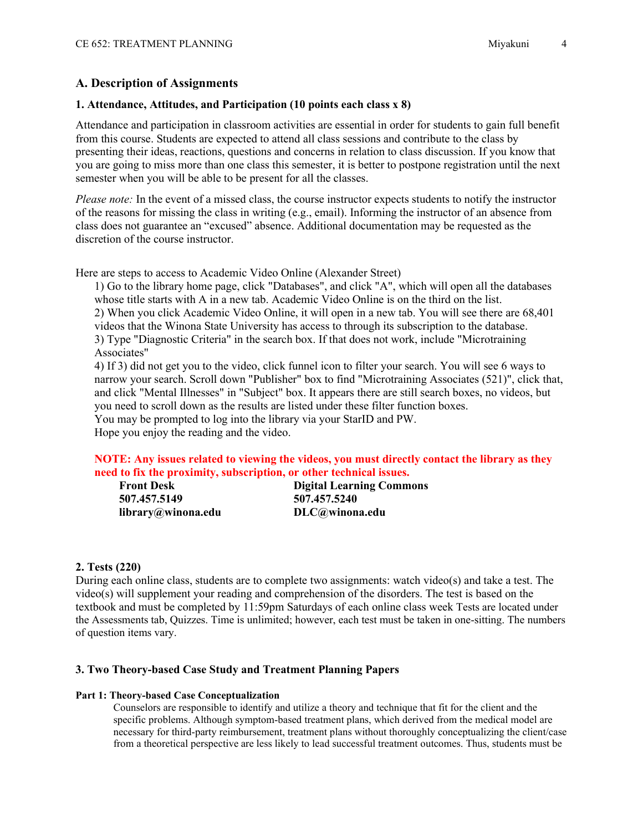## **A. Description of Assignments**

#### **1. Attendance, Attitudes, and Participation (10 points each class x 8)**

Attendance and participation in classroom activities are essential in order for students to gain full benefit from this course. Students are expected to attend all class sessions and contribute to the class by presenting their ideas, reactions, questions and concerns in relation to class discussion. If you know that you are going to miss more than one class this semester, it is better to postpone registration until the next semester when you will be able to be present for all the classes.

*Please note:* In the event of a missed class, the course instructor expects students to notify the instructor of the reasons for missing the class in writing (e.g., email). Informing the instructor of an absence from class does not guarantee an "excused" absence. Additional documentation may be requested as the discretion of the course instructor.

Here are steps to access to Academic Video Online (Alexander Street)

1) Go to the library home page, click "Databases", and click "A", which will open all the databases whose title starts with A in a new tab. Academic Video Online is on the third on the list. 2) When you click Academic Video Online, it will open in a new tab. You will see there are 68,401 videos that the Winona State University has access to through its subscription to the database. 3) Type "Diagnostic Criteria" in the search box. If that does not work, include "Microtraining Associates"

4) If 3) did not get you to the video, click funnel icon to filter your search. You will see 6 ways to narrow your search. Scroll down "Publisher" box to find "Microtraining Associates (521)", click that, and click "Mental Illnesses" in "Subject" box. It appears there are still search boxes, no videos, but you need to scroll down as the results are listed under these filter function boxes.

You may be prompted to log into the library via your StarID and PW.

Hope you enjoy the reading and the video.

#### **NOTE: Any issues related to viewing the videos, you must directly contact the library as they need to fix the proximity, subscription, or other technical issues.**

| <b>Front Desk</b>  | <b>Digital Learning Commons</b> |
|--------------------|---------------------------------|
| 507.457.5149       | 507.457.5240                    |
| library@winona.edu | DLC@winona.edu                  |

#### **2. Tests (220)**

During each online class, students are to complete two assignments: watch video(s) and take a test. The video(s) will supplement your reading and comprehension of the disorders. The test is based on the textbook and must be completed by 11:59pm Saturdays of each online class week Tests are located under the Assessments tab, Quizzes. Time is unlimited; however, each test must be taken in one-sitting. The numbers of question items vary.

### **3. Two Theory-based Case Study and Treatment Planning Papers**

#### **Part 1: Theory-based Case Conceptualization**

Counselors are responsible to identify and utilize a theory and technique that fit for the client and the specific problems. Although symptom-based treatment plans, which derived from the medical model are necessary for third-party reimbursement, treatment plans without thoroughly conceptualizing the client/case from a theoretical perspective are less likely to lead successful treatment outcomes. Thus, students must be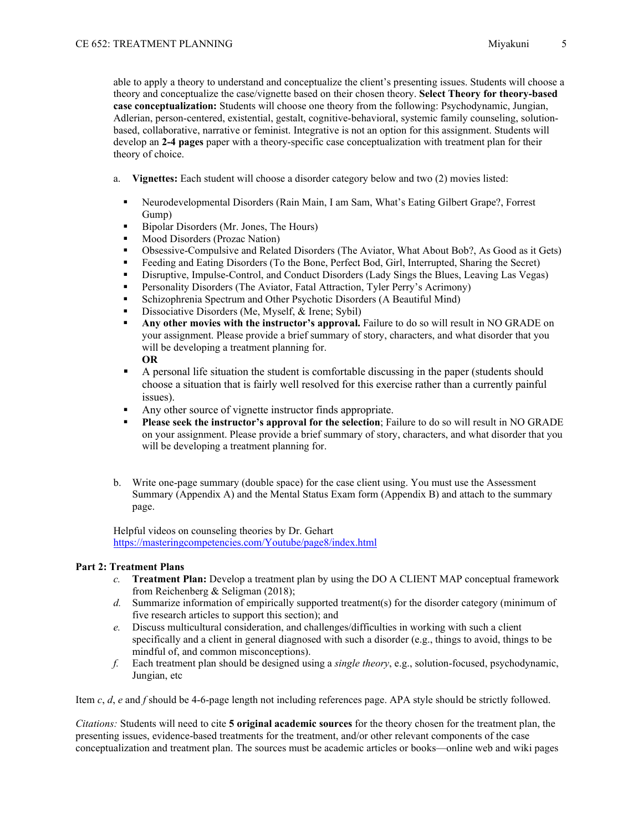able to apply a theory to understand and conceptualize the client's presenting issues. Students will choose a theory and conceptualize the case/vignette based on their chosen theory. **Select Theory for theory-based case conceptualization:** Students will choose one theory from the following: Psychodynamic, Jungian, Adlerian, person-centered, existential, gestalt, cognitive-behavioral, systemic family counseling, solutionbased, collaborative, narrative or feminist. Integrative is not an option for this assignment. Students will develop an **2-4 pages** paper with a theory-specific case conceptualization with treatment plan for their theory of choice.

- a. **Vignettes:** Each student will choose a disorder category below and two (2) movies listed:
	- Neurodevelopmental Disorders (Rain Main, I am Sam, What's Eating Gilbert Grape?, Forrest Gump)
	- Bipolar Disorders (Mr. Jones, The Hours)
	- Mood Disorders (Prozac Nation)
	- Obsessive-Compulsive and Related Disorders (The Aviator, What About Bob?, As Good as it Gets)
	- Feeding and Eating Disorders (To the Bone, Perfect Bod, Girl, Interrupted, Sharing the Secret)
	- Disruptive, Impulse-Control, and Conduct Disorders (Lady Sings the Blues, Leaving Las Vegas)
	- Personality Disorders (The Aviator, Fatal Attraction, Tyler Perry's Acrimony)
	- Schizophrenia Spectrum and Other Psychotic Disorders (A Beautiful Mind)
	- Dissociative Disorders (Me, Myself, & Irene; Sybil)
	- **Any other movies with the instructor's approval.** Failure to do so will result in NO GRADE on your assignment. Please provide a brief summary of story, characters, and what disorder that you will be developing a treatment planning for. **OR**
	- A personal life situation the student is comfortable discussing in the paper (students should choose a situation that is fairly well resolved for this exercise rather than a currently painful issues).
	- Any other source of vignette instructor finds appropriate.
	- **Please seek the instructor's approval for the selection**; Failure to do so will result in NO GRADE on your assignment. Please provide a brief summary of story, characters, and what disorder that you will be developing a treatment planning for.
- b. Write one-page summary (double space) for the case client using. You must use the Assessment Summary (Appendix A) and the Mental Status Exam form (Appendix B) and attach to the summary page.

Helpful videos on counseling theories by Dr. Gehart <https://masteringcompetencies.com/Youtube/page8/index.html>

#### **Part 2: Treatment Plans**

- *c.* **Treatment Plan:** Develop a treatment plan by using the DO A CLIENT MAP conceptual framework from Reichenberg & Seligman (2018);
- *d.* Summarize information of empirically supported treatment(s) for the disorder category (minimum of five research articles to support this section); and
- *e.* Discuss multicultural consideration, and challenges/difficulties in working with such a client specifically and a client in general diagnosed with such a disorder (e.g., things to avoid, things to be mindful of, and common misconceptions).
- *f.* Each treatment plan should be designed using a *single theory*, e.g., solution-focused, psychodynamic, Jungian, etc

Item *c*, *d*, *e* and *f* should be 4-6-page length not including references page. APA style should be strictly followed.

*Citations:* Students will need to cite **5 original academic sources** for the theory chosen for the treatment plan, the presenting issues, evidence-based treatments for the treatment, and/or other relevant components of the case conceptualization and treatment plan. The sources must be academic articles or books—online web and wiki pages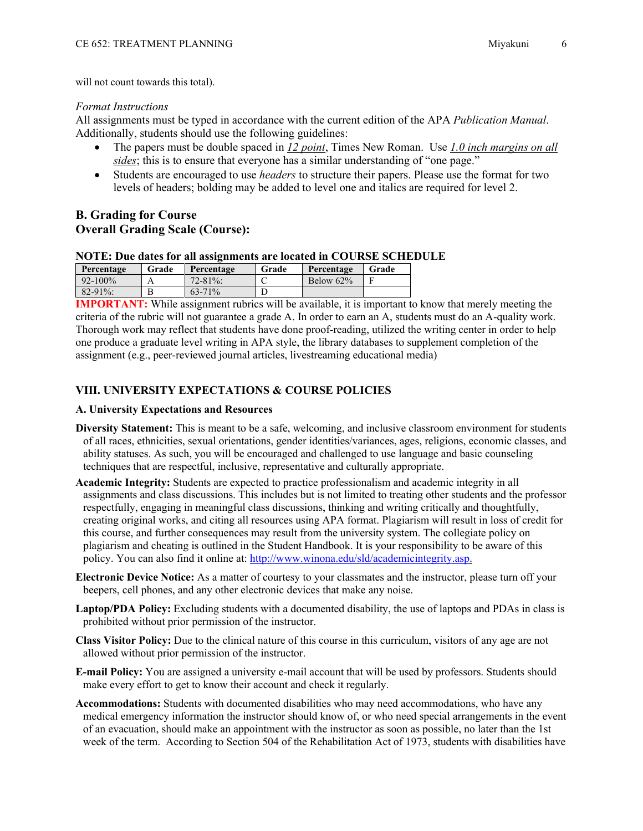will not count towards this total).

#### *Format Instructions*

All assignments must be typed in accordance with the current edition of the APA *Publication Manual*. Additionally, students should use the following guidelines:

- The papers must be double spaced in *12 point*, Times New Roman. Use *1.0 inch margins on all sides*; this is to ensure that everyone has a similar understanding of "one page."
- Students are encouraged to use *headers* to structure their papers. Please use the format for two levels of headers; bolding may be added to level one and italics are required for level 2.

## **B. Grading for Course Overall Grading Scale (Course):**

#### **NOTE: Due dates for all assignments are located in COURSE SCHEDULE**

| Percentage   | Grade | Percentage  | Grade | Percentage   | Grade |
|--------------|-------|-------------|-------|--------------|-------|
| $92 - 100\%$ |       | $72 - 81\%$ |       | Below $62\%$ |       |
| $82 - 91\%$  | В     | $63 - 71\%$ |       |              |       |

**IMPORTANT:** While assignment rubrics will be available, it is important to know that merely meeting the criteria of the rubric will not guarantee a grade A. In order to earn an A, students must do an A-quality work. Thorough work may reflect that students have done proof-reading, utilized the writing center in order to help one produce a graduate level writing in APA style, the library databases to supplement completion of the assignment (e.g., peer-reviewed journal articles, livestreaming educational media)

#### **VIII. UNIVERSITY EXPECTATIONS & COURSE POLICIES**

#### **A. University Expectations and Resources**

- **Diversity Statement:** This is meant to be a safe, welcoming, and inclusive classroom environment for students of all races, ethnicities, sexual orientations, gender identities/variances, ages, religions, economic classes, and ability statuses. As such, you will be encouraged and challenged to use language and basic counseling techniques that are respectful, inclusive, representative and culturally appropriate.
- **Academic Integrity:** Students are expected to practice professionalism and academic integrity in all assignments and class discussions. This includes but is not limited to treating other students and the professor respectfully, engaging in meaningful class discussions, thinking and writing critically and thoughtfully, creating original works, and citing all resources using APA format. Plagiarism will result in loss of credit for this course, and further consequences may result from the university system. The collegiate policy on plagiarism and cheating is outlined in the Student Handbook. It is your responsibility to be aware of this policy. You can also find it online at: [http://www.winona.edu/sld/academicintegrity.asp.](http://www.winona.edu/sld/academicintegrity.asp)
- **Electronic Device Notice:** As a matter of courtesy to your classmates and the instructor, please turn off your beepers, cell phones, and any other electronic devices that make any noise.
- **Laptop/PDA Policy:** Excluding students with a documented disability, the use of laptops and PDAs in class is prohibited without prior permission of the instructor.
- **Class Visitor Policy:** Due to the clinical nature of this course in this curriculum, visitors of any age are not allowed without prior permission of the instructor.
- **E-mail Policy:** You are assigned a university e-mail account that will be used by professors. Students should make every effort to get to know their account and check it regularly.
- **Accommodations:** Students with documented disabilities who may need accommodations, who have any medical emergency information the instructor should know of, or who need special arrangements in the event of an evacuation, should make an appointment with the instructor as soon as possible, no later than the 1st week of the term. According to Section 504 of the Rehabilitation Act of 1973, students with disabilities have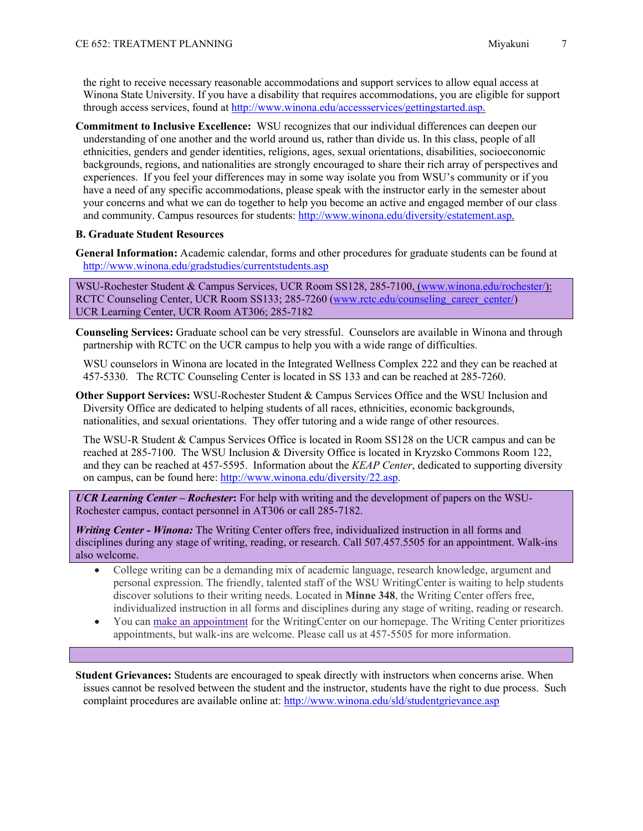the right to receive necessary reasonable accommodations and support services to allow equal access at Winona State University. If you have a disability that requires accommodations, you are eligible for support through access services, found at [http://www.winona.edu/accessservices/gettingstarted.asp.](http://www.winona.edu/accessservices/gettingstarted.asp)

**Commitment to Inclusive Excellence:** WSU recognizes that our individual differences can deepen our understanding of one another and the world around us, rather than divide us. In this class, people of all ethnicities, genders and gender identities, religions, ages, sexual orientations, disabilities, socioeconomic backgrounds, regions, and nationalities are strongly encouraged to share their rich array of perspectives and experiences. If you feel your differences may in some way isolate you from WSU's community or if you have a need of any specific accommodations, please speak with the instructor early in the semester about your concerns and what we can do together to help you become an active and engaged member of our class and community. Campus resources for students: [http://www.winona.edu/diversity/estatement.asp.](http://www.winona.edu/diversity/estatement.asp)

#### **B. Graduate Student Resources**

**General Information:** Academic calendar, forms and other procedures for graduate students can be found at <http://www.winona.edu/gradstudies/currentstudents.asp>

WSU-Rochester Student & Campus Services, UCR Room SS128, 285-7100, [\(www.winona.edu/rochester/\)](http://www.winona.edu/rochester/): RCTC Counseling Center, UCR Room SS133; 285-7260 [\(www.rctc.edu/counseling\\_career\\_center/\)](http://www.rctc.edu/counseling_career_center/) UCR Learning Center, UCR Room AT306; 285-7182

**Counseling Services:** Graduate school can be very stressful. Counselors are available in Winona and through partnership with RCTC on the UCR campus to help you with a wide range of difficulties.

WSU counselors in Winona are located in the Integrated Wellness Complex 222 and they can be reached at 457-5330. The RCTC Counseling Center is located in SS 133 and can be reached at 285-7260.

**Other Support Services:** WSU-Rochester Student & Campus Services Office and the WSU Inclusion and Diversity Office are dedicated to helping students of all races, ethnicities, economic backgrounds, nationalities, and sexual orientations. They offer tutoring and a wide range of other resources.

The WSU-R Student & Campus Services Office is located in Room SS128 on the UCR campus and can be reached at 285-7100. The WSU Inclusion & Diversity Office is located in Kryzsko Commons Room 122, and they can be reached at 457-5595. Information about the *KEAP Center*, dedicated to supporting diversity on campus, can be found here: [http://www.winona.edu/diversity/22.asp.](http://www.winona.edu/diversity/22.asp)

*UCR Learning Center – Rochester***:** For help with writing and the development of papers on the WSU-Rochester campus, contact personnel in AT306 or call 285-7182.

*Writing Center - Winona:* The Writing Center offers free, individualized instruction in all forms and disciplines during any stage of writing, reading, or research. Call 507.457.5505 for an appointment. Walk-ins also welcome.

- College writing can be a demanding mix of academic language, research knowledge, argument and personal expression. The friendly, talented staff of the WSU WritingCenter is waiting to help students discover solutions to their writing needs. Located in **Minne 348**, the Writing Center offers free, individualized instruction in all forms and disciplines during any stage of writing, reading or research.
- You can make an [appointment](https://nam02.safelinks.protection.outlook.com/?url=https%3A%2F%2Ftutortrac.winona.edu%2FTracWeb40%2FDefault.html&data=02%7C01%7Crieko.miyakuni%40winona.edu%7Cbf9f70f43fed4cab718608d7267533aa%7C5011c7c60ab446ab9ef4fae74a921a7f%7C0%7C0%7C637020157438132294&sdata=FvaxpyiO8vfwisQ6yn9Azmp4AVIHuDhSuGOL1Frr8l8%3D&reserved=0) for the WritingCenter on our homepage. The Writing Center prioritizes appointments, but walk-ins are welcome. Please call us at 457-5505 for more information.

**Student Grievances:** Students are encouraged to speak directly with instructors when concerns arise. When issues cannot be resolved between the student and the instructor, students have the right to due process. Such complaint procedures are available online at:<http://www.winona.edu/sld/studentgrievance.asp>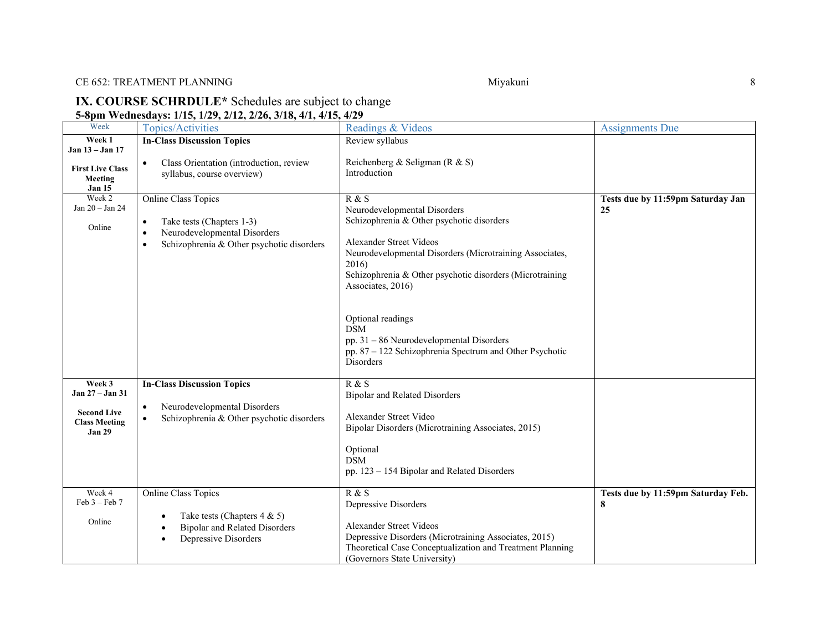## CE 652: TREATMENT PLANNING 8

### **IX. COURSE SCHRDULE\*** Schedules are subject to change **5-8pm Wednesdays: 1/15, 1/29, 2/12, 2/26, 3/18, 4/1, 4/15, 4/29**

| Week                                                                                     | <b>Topics/Activities</b>                                                                                                                  | Readings & Videos                                                                                                                                                                                                                                                                                                                                                                                                                  | <b>Assignments Due</b>                  |
|------------------------------------------------------------------------------------------|-------------------------------------------------------------------------------------------------------------------------------------------|------------------------------------------------------------------------------------------------------------------------------------------------------------------------------------------------------------------------------------------------------------------------------------------------------------------------------------------------------------------------------------------------------------------------------------|-----------------------------------------|
| Week 1<br>Jan 13 - Jan 17                                                                | <b>In-Class Discussion Topics</b>                                                                                                         | Review syllabus                                                                                                                                                                                                                                                                                                                                                                                                                    |                                         |
| <b>First Live Class</b><br>Meeting<br><b>Jan 15</b>                                      | Class Orientation (introduction, review<br>syllabus, course overview)                                                                     | Reichenberg & Seligman (R & S)<br>Introduction                                                                                                                                                                                                                                                                                                                                                                                     |                                         |
| Week 2<br>Jan 20 - Jan 24<br>Online                                                      | <b>Online Class Topics</b><br>Take tests (Chapters 1-3)<br>Neurodevelopmental Disorders<br>Schizophrenia & Other psychotic disorders      | R & S<br>Neurodevelopmental Disorders<br>Schizophrenia & Other psychotic disorders<br><b>Alexander Street Videos</b><br>Neurodevelopmental Disorders (Microtraining Associates,<br>2016)<br>Schizophrenia & Other psychotic disorders (Microtraining<br>Associates, 2016)<br>Optional readings<br><b>DSM</b><br>$pp. 31 - 86$ Neurodevelopmental Disorders<br>pp. 87 - 122 Schizophrenia Spectrum and Other Psychotic<br>Disorders | Tests due by 11:59pm Saturday Jan<br>25 |
| Week 3<br>Jan 27 – Jan 31<br><b>Second Live</b><br><b>Class Meeting</b><br><b>Jan 29</b> | <b>In-Class Discussion Topics</b><br>Neurodevelopmental Disorders<br>$\bullet$<br>Schizophrenia & Other psychotic disorders               | R & S<br><b>Bipolar and Related Disorders</b><br>Alexander Street Video<br>Bipolar Disorders (Microtraining Associates, 2015)<br>Optional<br><b>DSM</b><br>pp. 123 - 154 Bipolar and Related Disorders                                                                                                                                                                                                                             |                                         |
| Week 4<br>$Feb 3 - Feb 7$<br>Online                                                      | <b>Online Class Topics</b><br>Take tests (Chapters $4 & 5$ )<br><b>Bipolar and Related Disorders</b><br>Depressive Disorders<br>$\bullet$ | R & S<br>Depressive Disorders<br><b>Alexander Street Videos</b><br>Depressive Disorders (Microtraining Associates, 2015)<br>Theoretical Case Conceptualization and Treatment Planning<br>(Governors State University)                                                                                                                                                                                                              | Tests due by 11:59pm Saturday Feb.<br>8 |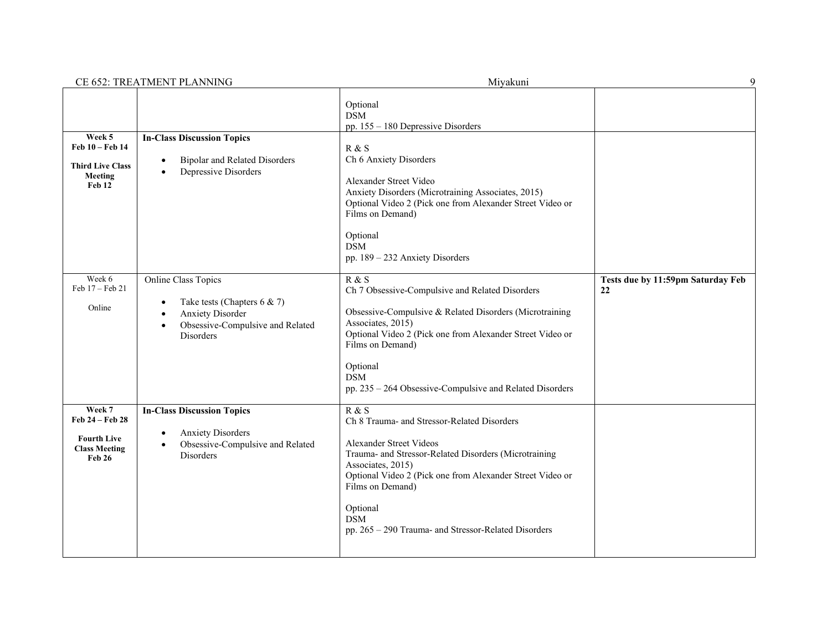|                                                                                   | CE 652: TREATMENT PLANNING                                                                                                                                      | Miyakuni                                                                                                                                                                                                                                                                                                                                | 9                                       |
|-----------------------------------------------------------------------------------|-----------------------------------------------------------------------------------------------------------------------------------------------------------------|-----------------------------------------------------------------------------------------------------------------------------------------------------------------------------------------------------------------------------------------------------------------------------------------------------------------------------------------|-----------------------------------------|
| Week 5<br>Feb 10 - Feb 14<br><b>Third Live Class</b><br>Meeting<br>Feb 12         | <b>In-Class Discussion Topics</b><br><b>Bipolar and Related Disorders</b><br>$\bullet$<br>Depressive Disorders<br>$\bullet$                                     | Optional<br><b>DSM</b><br>pp. 155 - 180 Depressive Disorders<br>R & S<br>Ch 6 Anxiety Disorders<br>Alexander Street Video<br>Anxiety Disorders (Microtraining Associates, 2015)<br>Optional Video 2 (Pick one from Alexander Street Video or<br>Films on Demand)<br>Optional<br><b>DSM</b><br>pp. 189 - 232 Anxiety Disorders           |                                         |
| Week 6<br>Feb 17 - Feb 21<br>Online                                               | Online Class Topics<br>Take tests (Chapters 6 & 7)<br>$\bullet$<br><b>Anxiety Disorder</b><br>Obsessive-Compulsive and Related<br>$\bullet$<br><b>Disorders</b> | R & S<br>Ch 7 Obsessive-Compulsive and Related Disorders<br>Obsessive-Compulsive & Related Disorders (Microtraining<br>Associates, 2015)<br>Optional Video 2 (Pick one from Alexander Street Video or<br>Films on Demand)<br>Optional<br><b>DSM</b><br>pp. 235 - 264 Obsessive-Compulsive and Related Disorders                         | Tests due by 11:59pm Saturday Feb<br>22 |
| Week 7<br>Feb 24 - Feb 28<br><b>Fourth Live</b><br><b>Class Meeting</b><br>Feb 26 | <b>In-Class Discussion Topics</b><br><b>Anxiety Disorders</b><br>$\bullet$<br>Obsessive-Compulsive and Related<br>$\bullet$<br><b>Disorders</b>                 | R & S<br>Ch 8 Trauma- and Stressor-Related Disorders<br><b>Alexander Street Videos</b><br>Trauma- and Stressor-Related Disorders (Microtraining<br>Associates, 2015)<br>Optional Video 2 (Pick one from Alexander Street Video or<br>Films on Demand)<br>Optional<br><b>DSM</b><br>pp. 265 - 290 Trauma- and Stressor-Related Disorders |                                         |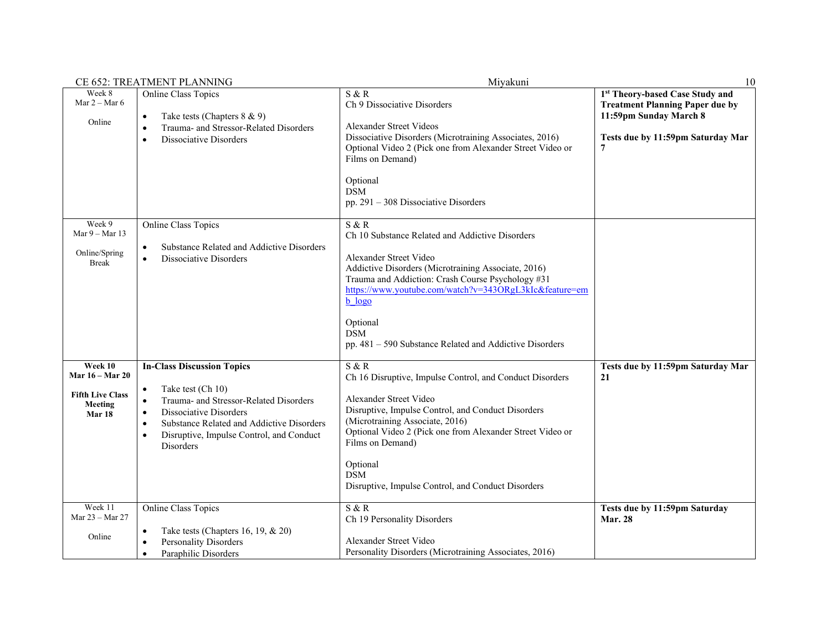|                                                                                   | <b>CE 652: TREATMENT PLANNING</b>                                                                                                                                                                                                                                                                        | Miyakuni                                                                                                                                                                                                                                                                                                                                                       | 10                                                                                                                                            |
|-----------------------------------------------------------------------------------|----------------------------------------------------------------------------------------------------------------------------------------------------------------------------------------------------------------------------------------------------------------------------------------------------------|----------------------------------------------------------------------------------------------------------------------------------------------------------------------------------------------------------------------------------------------------------------------------------------------------------------------------------------------------------------|-----------------------------------------------------------------------------------------------------------------------------------------------|
| Week 8<br>Mar $2 -$ Mar 6<br>Online                                               | Online Class Topics<br>Take tests (Chapters 8 & 9)<br>$\bullet$<br>Trauma- and Stressor-Related Disorders<br>$\bullet$<br>Dissociative Disorders<br>$\bullet$                                                                                                                                            | S & R<br>Ch 9 Dissociative Disorders<br>Alexander Street Videos<br>Dissociative Disorders (Microtraining Associates, 2016)<br>Optional Video 2 (Pick one from Alexander Street Video or<br>Films on Demand)<br>Optional<br><b>DSM</b><br>pp. $291 - 308$ Dissociative Disorders                                                                                | 1st Theory-based Case Study and<br><b>Treatment Planning Paper due by</b><br>11:59pm Sunday March 8<br>Tests due by 11:59pm Saturday Mar<br>7 |
| Week 9<br>Mar $9 -$ Mar 13<br>Online/Spring<br><b>Break</b>                       | <b>Online Class Topics</b><br>Substance Related and Addictive Disorders<br>$\bullet$<br>Dissociative Disorders<br>$\bullet$                                                                                                                                                                              | S & R<br>Ch 10 Substance Related and Addictive Disorders<br>Alexander Street Video<br>Addictive Disorders (Microtraining Associate, 2016)<br>Trauma and Addiction: Crash Course Psychology #31<br>https://www.youtube.com/watch?v=343ORgL3kIc&feature=em<br><b>b</b> logo<br>Optional<br><b>DSM</b><br>pp. 481 - 590 Substance Related and Addictive Disorders |                                                                                                                                               |
| Week 10<br>Mar 16 – Mar 20<br><b>Fifth Live Class</b><br><b>Meeting</b><br>Mar 18 | <b>In-Class Discussion Topics</b><br>Take test (Ch 10)<br>$\bullet$<br>Trauma- and Stressor-Related Disorders<br>$\bullet$<br>Dissociative Disorders<br>$\bullet$<br>Substance Related and Addictive Disorders<br>$\bullet$<br>Disruptive, Impulse Control, and Conduct<br>$\bullet$<br><b>Disorders</b> | S & R<br>Ch 16 Disruptive, Impulse Control, and Conduct Disorders<br>Alexander Street Video<br>Disruptive, Impulse Control, and Conduct Disorders<br>(Microtraining Associate, 2016)<br>Optional Video 2 (Pick one from Alexander Street Video or<br>Films on Demand)<br>Optional<br><b>DSM</b><br>Disruptive, Impulse Control, and Conduct Disorders          | Tests due by 11:59pm Saturday Mar<br>21                                                                                                       |
| Week 11<br>Mar 23 - Mar 27<br>Online                                              | Online Class Topics<br>Take tests (Chapters 16, 19, $\&$ 20)<br>$\bullet$<br>Personality Disorders<br>$\bullet$<br>Paraphilic Disorders                                                                                                                                                                  | S & R<br>Ch 19 Personality Disorders<br>Alexander Street Video<br>Personality Disorders (Microtraining Associates, 2016)                                                                                                                                                                                                                                       | Tests due by 11:59pm Saturday<br><b>Mar. 28</b>                                                                                               |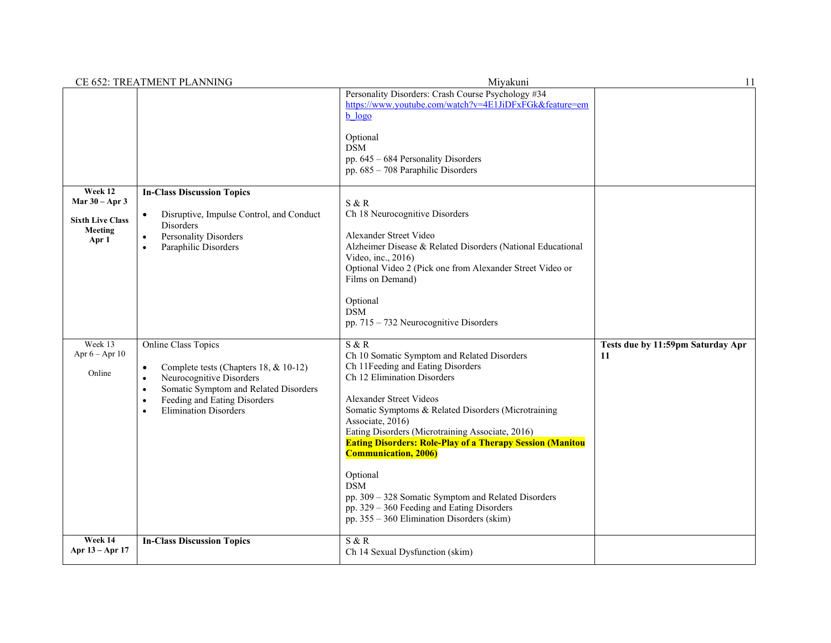|                                                                            | CE 652: TREATMENT PLANNING                                                                                                                                                                                                                                         | Miyakuni                                                                                                                                                                                                                                                                                                                                                                                                                                                                                                                                                                                                       | 11                                      |
|----------------------------------------------------------------------------|--------------------------------------------------------------------------------------------------------------------------------------------------------------------------------------------------------------------------------------------------------------------|----------------------------------------------------------------------------------------------------------------------------------------------------------------------------------------------------------------------------------------------------------------------------------------------------------------------------------------------------------------------------------------------------------------------------------------------------------------------------------------------------------------------------------------------------------------------------------------------------------------|-----------------------------------------|
|                                                                            |                                                                                                                                                                                                                                                                    | Personality Disorders: Crash Course Psychology #34<br>https://www.youtube.com/watch?v=4E1JiDFxFGk&feature=em<br>$b$ $logo$<br>Optional<br><b>DSM</b><br>pp. $645 - 684$ Personality Disorders<br>pp. 685 - 708 Paraphilic Disorders                                                                                                                                                                                                                                                                                                                                                                            |                                         |
| Week 12<br>Mar $30 - Apr 3$<br><b>Sixth Live Class</b><br>Meeting<br>Apr 1 | <b>In-Class Discussion Topics</b><br>Disruptive, Impulse Control, and Conduct<br>$\bullet$<br>Disorders<br>Personality Disorders<br>$\bullet$<br>Paraphilic Disorders<br>$\bullet$                                                                                 | S & R<br>Ch 18 Neurocognitive Disorders<br>Alexander Street Video<br>Alzheimer Disease & Related Disorders (National Educational<br>Video, inc., 2016)<br>Optional Video 2 (Pick one from Alexander Street Video or<br>Films on Demand)<br>Optional<br><b>DSM</b>                                                                                                                                                                                                                                                                                                                                              |                                         |
| Week 13<br>Apr $6 -$ Apr $10$<br>Online                                    | Online Class Topics<br>Complete tests (Chapters 18, & 10-12)<br>$\bullet$<br>Neurocognitive Disorders<br>$\bullet$<br>Somatic Symptom and Related Disorders<br>$\bullet$<br>Feeding and Eating Disorders<br>$\bullet$<br><b>Elimination Disorders</b><br>$\bullet$ | pp. $715 - 732$ Neurocognitive Disorders<br>S & R<br>Ch 10 Somatic Symptom and Related Disorders<br>Ch 11Feeding and Eating Disorders<br>Ch 12 Elimination Disorders<br>Alexander Street Videos<br>Somatic Symptoms & Related Disorders (Microtraining<br>Associate, 2016)<br>Eating Disorders (Microtraining Associate, 2016)<br><b>Eating Disorders: Role-Play of a Therapy Session (Manitou</b><br><b>Communication, 2006)</b><br>Optional<br><b>DSM</b><br>pp. 309 - 328 Somatic Symptom and Related Disorders<br>pp. 329 - 360 Feeding and Eating Disorders<br>pp. 355 - 360 Elimination Disorders (skim) | Tests due by 11:59pm Saturday Apr<br>11 |
| Week 14<br>Apr 13 – Apr 17                                                 | <b>In-Class Discussion Topics</b>                                                                                                                                                                                                                                  | S & R<br>Ch 14 Sexual Dysfunction (skim)                                                                                                                                                                                                                                                                                                                                                                                                                                                                                                                                                                       |                                         |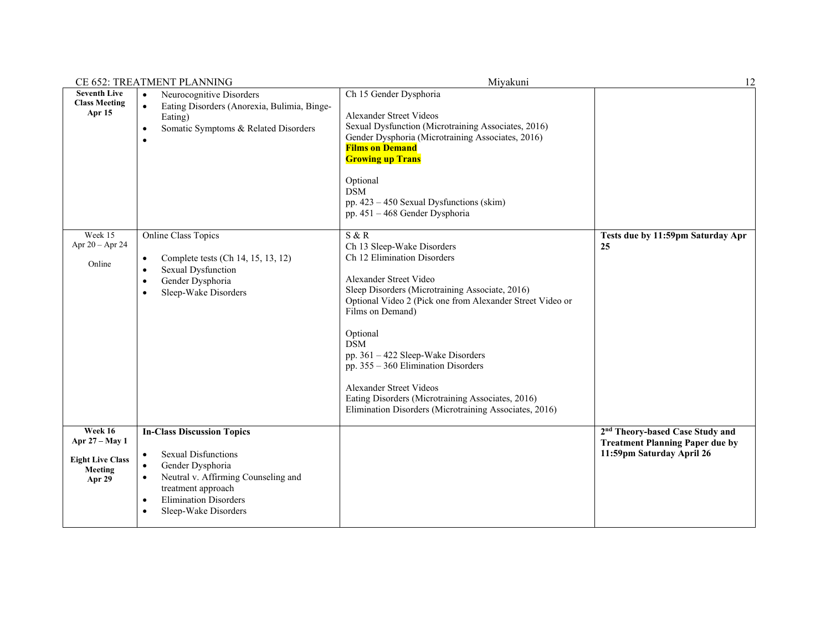|                                                                           | CE 652: TREATMENT PLANNING                                                                                                                                                                                                                                        | Miyakuni                                                                                                                                                                                                                                                                                                                                                                                                                                                                                 | 12                                                                                                                 |
|---------------------------------------------------------------------------|-------------------------------------------------------------------------------------------------------------------------------------------------------------------------------------------------------------------------------------------------------------------|------------------------------------------------------------------------------------------------------------------------------------------------------------------------------------------------------------------------------------------------------------------------------------------------------------------------------------------------------------------------------------------------------------------------------------------------------------------------------------------|--------------------------------------------------------------------------------------------------------------------|
| <b>Seventh Live</b><br><b>Class Meeting</b><br><b>Apr 15</b>              | Neurocognitive Disorders<br>$\bullet$<br>Eating Disorders (Anorexia, Bulimia, Binge-<br>$\bullet$<br>Eating)<br>Somatic Symptoms & Related Disorders<br>$\bullet$<br>$\bullet$                                                                                    | Ch 15 Gender Dysphoria<br>Alexander Street Videos<br>Sexual Dysfunction (Microtraining Associates, 2016)<br>Gender Dysphoria (Microtraining Associates, 2016)<br><b>Films on Demand</b><br><b>Growing up Trans</b><br>Optional<br><b>DSM</b><br>pp. 423 - 450 Sexual Dysfunctions (skim)<br>pp. 451 - 468 Gender Dysphoria                                                                                                                                                               |                                                                                                                    |
| Week 15<br>Apr $20 -$ Apr 24<br>Online                                    | Online Class Topics<br>Complete tests (Ch 14, 15, 13, 12)<br>$\bullet$<br>Sexual Dysfunction<br>٠<br>Gender Dysphoria<br>$\bullet$<br>Sleep-Wake Disorders<br>$\bullet$                                                                                           | S & R<br>Ch 13 Sleep-Wake Disorders<br>Ch 12 Elimination Disorders<br>Alexander Street Video<br>Sleep Disorders (Microtraining Associate, 2016)<br>Optional Video 2 (Pick one from Alexander Street Video or<br>Films on Demand)<br>Optional<br><b>DSM</b><br>pp. 361 - 422 Sleep-Wake Disorders<br>pp. 355 - 360 Elimination Disorders<br><b>Alexander Street Videos</b><br>Eating Disorders (Microtraining Associates, 2016)<br>Elimination Disorders (Microtraining Associates, 2016) | Tests due by 11:59pm Saturday Apr<br>25                                                                            |
| Week 16<br>Apr 27 - May 1<br><b>Eight Live Class</b><br>Meeting<br>Apr 29 | <b>In-Class Discussion Topics</b><br><b>Sexual Disfunctions</b><br>$\bullet$<br>Gender Dysphoria<br>$\bullet$<br>Neutral v. Affirming Counseling and<br>$\bullet$<br>treatment approach<br><b>Elimination Disorders</b><br>$\bullet$<br>Sleep-Wake Disorders<br>٠ |                                                                                                                                                                                                                                                                                                                                                                                                                                                                                          | 2 <sup>nd</sup> Theory-based Case Study and<br><b>Treatment Planning Paper due by</b><br>11:59pm Saturday April 26 |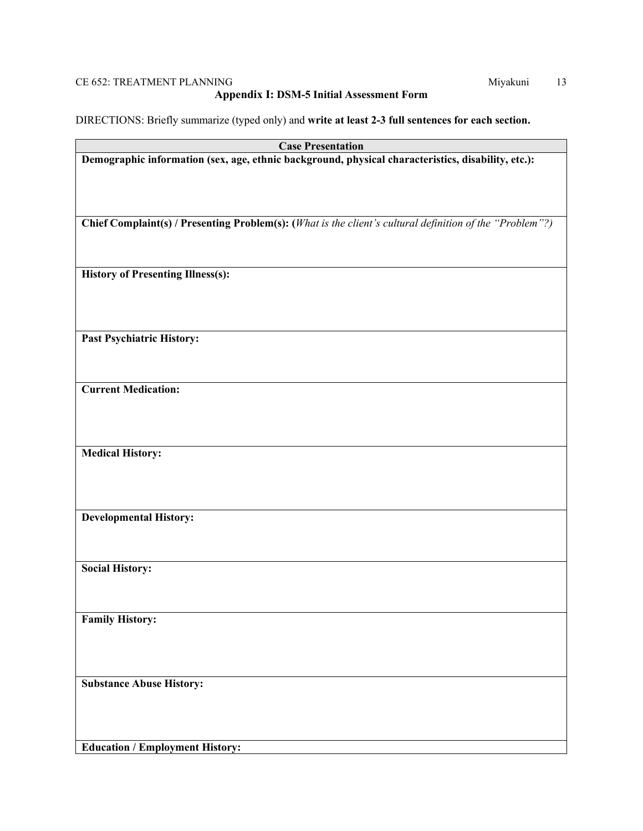## CE 652: TREATMENT PLANNING Miyakuni 13

## **Appendix I: DSM-5 Initial Assessment Form**

DIRECTIONS: Briefly summarize (typed only) and **write at least 2-3 full sentences for each section.** 

| <b>Case Presentation</b>                                                                                 |
|----------------------------------------------------------------------------------------------------------|
| Demographic information (sex, age, ethnic background, physical characteristics, disability, etc.):       |
|                                                                                                          |
|                                                                                                          |
|                                                                                                          |
| Chief Complaint(s) / Presenting Problem(s): (What is the client's cultural definition of the "Problem"?) |
|                                                                                                          |
|                                                                                                          |
| <b>History of Presenting Illness(s):</b>                                                                 |
|                                                                                                          |
|                                                                                                          |
|                                                                                                          |
| <b>Past Psychiatric History:</b>                                                                         |
|                                                                                                          |
|                                                                                                          |
| <b>Current Medication:</b>                                                                               |
|                                                                                                          |
|                                                                                                          |
| <b>Medical History:</b>                                                                                  |
|                                                                                                          |
|                                                                                                          |
|                                                                                                          |
| <b>Developmental History:</b>                                                                            |
|                                                                                                          |
|                                                                                                          |
| <b>Social History:</b>                                                                                   |
|                                                                                                          |
|                                                                                                          |
| <b>Family History:</b>                                                                                   |
|                                                                                                          |
|                                                                                                          |
|                                                                                                          |
| <b>Substance Abuse History:</b>                                                                          |
|                                                                                                          |
|                                                                                                          |
| <b>Education / Employment History:</b>                                                                   |
|                                                                                                          |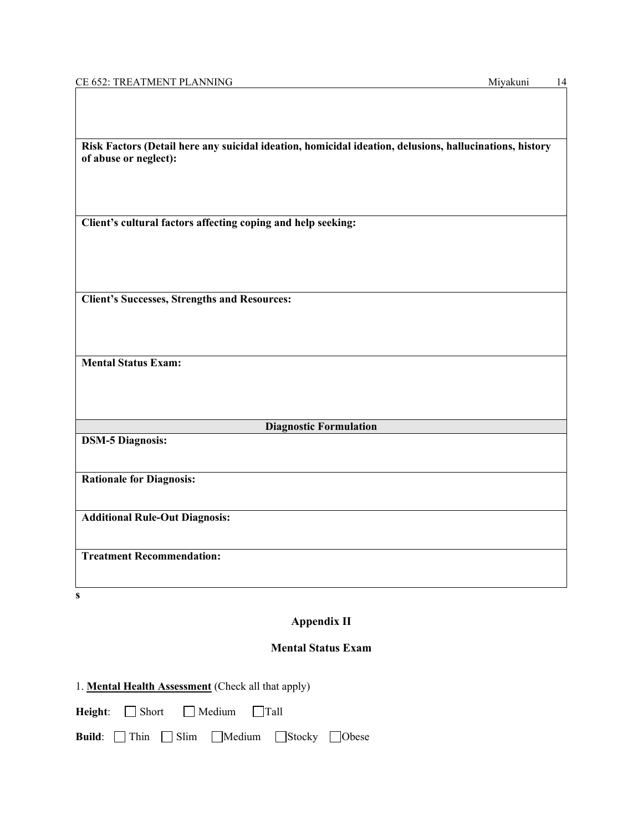| Risk Factors (Detail here any suicidal ideation, homicidal ideation, delusions, hallucinations, history |  |
|---------------------------------------------------------------------------------------------------------|--|
| of abuse or neglect):                                                                                   |  |
|                                                                                                         |  |
|                                                                                                         |  |
| Client's cultural factors affecting coping and help seeking:                                            |  |
|                                                                                                         |  |
|                                                                                                         |  |
|                                                                                                         |  |
| <b>Client's Successes, Strengths and Resources:</b>                                                     |  |
|                                                                                                         |  |
|                                                                                                         |  |
| <b>Mental Status Exam:</b>                                                                              |  |
|                                                                                                         |  |
|                                                                                                         |  |
|                                                                                                         |  |
| <b>Diagnostic Formulation</b>                                                                           |  |
| <b>DSM-5 Diagnosis:</b>                                                                                 |  |
|                                                                                                         |  |
| <b>Rationale for Diagnosis:</b>                                                                         |  |
|                                                                                                         |  |
| <b>Additional Rule-Out Diagnosis:</b>                                                                   |  |
|                                                                                                         |  |
| <b>Treatment Recommendation:</b>                                                                        |  |
|                                                                                                         |  |

## **Appendix II**

## **Mental Status Exam**

|  | 1. Mental Health Assessment (Check all that apply) |  |
|--|----------------------------------------------------|--|
|  |                                                    |  |

|  | Height: $\Box$ Short | $\Box$ Medium | $\Box$ Tall |
|--|----------------------|---------------|-------------|
|--|----------------------|---------------|-------------|

|  |  |  | Build: Thin Slim Medium Stocky Obese |  |  |
|--|--|--|--------------------------------------|--|--|
|--|--|--|--------------------------------------|--|--|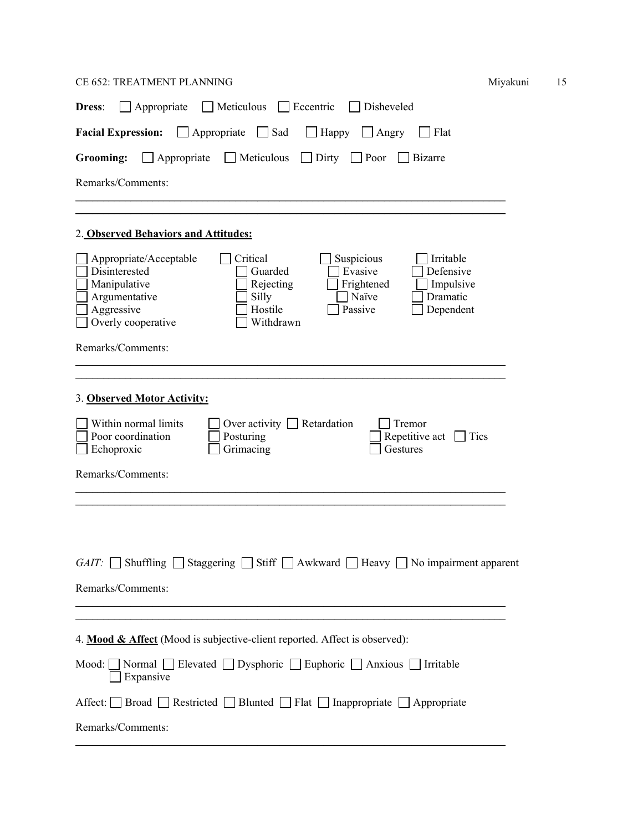## CE 652: TREATMENT PLANNING Miyakuni 15

| 1yakuni |  |
|---------|--|
|         |  |

| Appropriate<br>$\Box$ Meticulous $\Box$ Eccentric<br>Disheveled<br><b>Dress:</b>                                                                                                                                                                                                                                                  |
|-----------------------------------------------------------------------------------------------------------------------------------------------------------------------------------------------------------------------------------------------------------------------------------------------------------------------------------|
| $\Box$ Appropriate $\Box$ Sad<br><b>Facial Expression:</b><br>Happy<br>Angry<br>Flat<br>$\mathbf{I}$                                                                                                                                                                                                                              |
| $\Box$ Appropriate $\Box$ Meticulous<br>Dirty<br>$\Box$ Poor<br>Grooming:<br><b>Bizarre</b>                                                                                                                                                                                                                                       |
| Remarks/Comments:                                                                                                                                                                                                                                                                                                                 |
|                                                                                                                                                                                                                                                                                                                                   |
| 2. Observed Behaviors and Attitudes:                                                                                                                                                                                                                                                                                              |
| Critical<br>Appropriate/Acceptable<br>Suspicious<br>Irritable<br>Evasive<br>Defensive<br>Disinterested<br>Guarded<br>Manipulative<br>Frightened<br>Rejecting<br>Impulsive<br>Argumentative<br>Silly<br>Naïve<br>Dramatic<br>Aggressive<br>Passive<br>Hostile<br>Dependent<br>Overly cooperative<br>Withdrawn<br>Remarks/Comments: |
|                                                                                                                                                                                                                                                                                                                                   |
| 3. Observed Motor Activity:<br>Within normal limits<br>Over activity $\Box$ Retardation<br>Tremor<br>Poor coordination<br>Repetitive act<br>Posturing<br>Tics<br>Echoproxic<br>Grimacing<br>Gestures<br>Remarks/Comments:                                                                                                         |
| Shuffling<br>GAIT:<br>Stiff $\vert$<br>Awkward<br>No impairment apparent<br>Staggering<br>Heavy<br>Remarks/Comments:                                                                                                                                                                                                              |
| 4. Mood & Affect (Mood is subjective-client reported. Affect is observed):                                                                                                                                                                                                                                                        |
| Mood: $\Box$ Normal $\Box$ Elevated $\Box$ Dysphoric $\Box$ Euphoric $\Box$ Anxious $\Box$ Irritable<br>$\Box$ Expansive                                                                                                                                                                                                          |
| Affect: <b>□</b> Broad ■ Restricted ■ Blunted ■ Flat ■ Inappropriate ■ Appropriate                                                                                                                                                                                                                                                |
| Remarks/Comments:                                                                                                                                                                                                                                                                                                                 |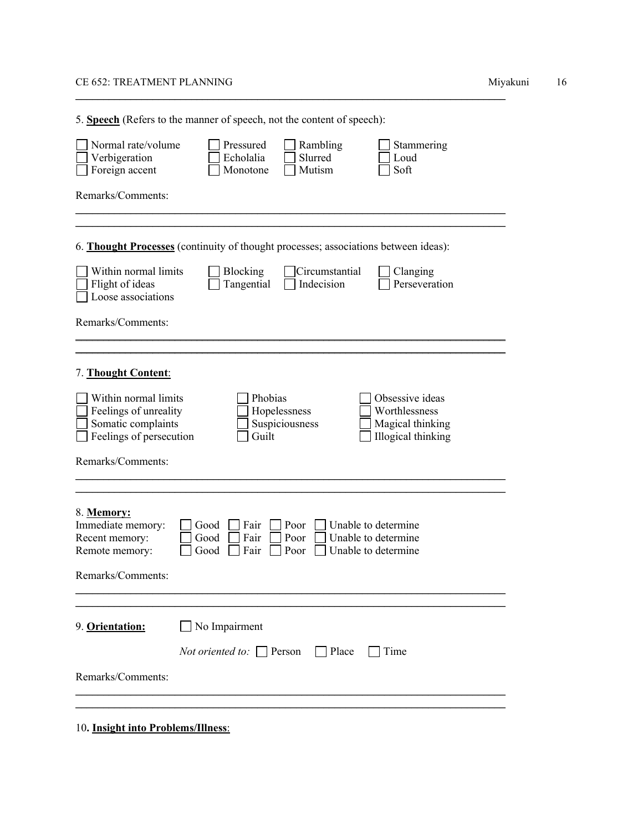#### CE 652: TREATMENT PLANNING **Mixamus** 16

5. **Speech** (Refers to the manner of speech, not the content of speech): Normal rate/volume D Pressured Rambling Stammering<br>
Verbigeration D Echolalia Slurred D Loud Verbigeration **Echolalia** Slurred 
Loud Foreign accent Monotone Mutism Soft Remarks/Comments:  $\mathcal{L}_\mathcal{L} = \{ \mathcal{L}_\mathcal{L} = \{ \mathcal{L}_\mathcal{L} = \{ \mathcal{L}_\mathcal{L} = \{ \mathcal{L}_\mathcal{L} = \{ \mathcal{L}_\mathcal{L} = \{ \mathcal{L}_\mathcal{L} = \{ \mathcal{L}_\mathcal{L} = \{ \mathcal{L}_\mathcal{L} = \{ \mathcal{L}_\mathcal{L} = \{ \mathcal{L}_\mathcal{L} = \{ \mathcal{L}_\mathcal{L} = \{ \mathcal{L}_\mathcal{L} = \{ \mathcal{L}_\mathcal{L} = \{ \mathcal{L}_\mathcal{$  $\mathcal{L}_\mathcal{L} = \mathcal{L}_\mathcal{L} = \mathcal{L}_\mathcal{L} = \mathcal{L}_\mathcal{L} = \mathcal{L}_\mathcal{L} = \mathcal{L}_\mathcal{L} = \mathcal{L}_\mathcal{L} = \mathcal{L}_\mathcal{L} = \mathcal{L}_\mathcal{L} = \mathcal{L}_\mathcal{L} = \mathcal{L}_\mathcal{L} = \mathcal{L}_\mathcal{L} = \mathcal{L}_\mathcal{L} = \mathcal{L}_\mathcal{L} = \mathcal{L}_\mathcal{L} = \mathcal{L}_\mathcal{L} = \mathcal{L}_\mathcal{L}$ 6. **Thought Processes** (continuity of thought processes; associations between ideas): Within normal limits  $\Box$  Blocking  $\Box$  Circumstantial  $\Box$  Clanging Flight of ideas  $\Box$  Tangential  $\Box$  Indecision  $\Box$  Perseveration Loose associations Remarks/Comments:  $\mathcal{L}_\mathcal{L} = \mathcal{L}_\mathcal{L} = \mathcal{L}_\mathcal{L} = \mathcal{L}_\mathcal{L} = \mathcal{L}_\mathcal{L} = \mathcal{L}_\mathcal{L} = \mathcal{L}_\mathcal{L} = \mathcal{L}_\mathcal{L} = \mathcal{L}_\mathcal{L} = \mathcal{L}_\mathcal{L} = \mathcal{L}_\mathcal{L} = \mathcal{L}_\mathcal{L} = \mathcal{L}_\mathcal{L} = \mathcal{L}_\mathcal{L} = \mathcal{L}_\mathcal{L} = \mathcal{L}_\mathcal{L} = \mathcal{L}_\mathcal{L}$  $\mathcal{L}_\mathcal{L} = \mathcal{L}_\mathcal{L} = \mathcal{L}_\mathcal{L} = \mathcal{L}_\mathcal{L} = \mathcal{L}_\mathcal{L} = \mathcal{L}_\mathcal{L} = \mathcal{L}_\mathcal{L} = \mathcal{L}_\mathcal{L} = \mathcal{L}_\mathcal{L} = \mathcal{L}_\mathcal{L} = \mathcal{L}_\mathcal{L} = \mathcal{L}_\mathcal{L} = \mathcal{L}_\mathcal{L} = \mathcal{L}_\mathcal{L} = \mathcal{L}_\mathcal{L} = \mathcal{L}_\mathcal{L} = \mathcal{L}_\mathcal{L}$ 7. **Thought Content**: Nithin normal limits **Phobias** Phobias **Phobias** Obsessive ideas Feelings of unreality<br>
Somatic complaints<br>
Suspiciousness<br>
Suspiciousness<br>
Nagical thinking Somatic complaints Suspiciousness Magical thinking<br>
Feelings of persecution Guilt Illogical thinking  $\Box$  Feelings of persecution  $\Box$  Guilt Remarks/Comments:  $\mathcal{L}_\text{max}$  and  $\mathcal{L}_\text{max}$  and  $\mathcal{L}_\text{max}$  and  $\mathcal{L}_\text{max}$  and  $\mathcal{L}_\text{max}$  and  $\mathcal{L}_\text{max}$  $\mathcal{L}_\mathcal{L} = \{ \mathcal{L}_\mathcal{L} = \{ \mathcal{L}_\mathcal{L} = \{ \mathcal{L}_\mathcal{L} = \{ \mathcal{L}_\mathcal{L} = \{ \mathcal{L}_\mathcal{L} = \{ \mathcal{L}_\mathcal{L} = \{ \mathcal{L}_\mathcal{L} = \{ \mathcal{L}_\mathcal{L} = \{ \mathcal{L}_\mathcal{L} = \{ \mathcal{L}_\mathcal{L} = \{ \mathcal{L}_\mathcal{L} = \{ \mathcal{L}_\mathcal{L} = \{ \mathcal{L}_\mathcal{L} = \{ \mathcal{L}_\mathcal{$ 8. **Memory:**  $\Box$  Good  $\Box$  Fair  $\Box$  Poor  $\Box$  Unable to determine Recent memory:  $\Box$  Good  $\Box$  Fair  $\Box$  Poor  $\Box$  Unable to determine Remote memory:  $\Box$  Good  $\Box$  Fair  $\Box$  Poor  $\Box$  Unable to determine Remarks/Comments:  $\mathcal{L}_\mathcal{L} = \mathcal{L}_\mathcal{L} = \mathcal{L}_\mathcal{L} = \mathcal{L}_\mathcal{L} = \mathcal{L}_\mathcal{L} = \mathcal{L}_\mathcal{L} = \mathcal{L}_\mathcal{L} = \mathcal{L}_\mathcal{L} = \mathcal{L}_\mathcal{L} = \mathcal{L}_\mathcal{L} = \mathcal{L}_\mathcal{L} = \mathcal{L}_\mathcal{L} = \mathcal{L}_\mathcal{L} = \mathcal{L}_\mathcal{L} = \mathcal{L}_\mathcal{L} = \mathcal{L}_\mathcal{L} = \mathcal{L}_\mathcal{L}$ \_\_\_\_\_\_\_\_\_\_\_\_\_\_\_\_\_\_\_\_\_\_\_\_\_\_\_\_\_\_\_\_\_\_\_\_\_\_\_\_\_\_\_\_\_\_\_\_\_\_\_\_\_\_\_\_\_\_\_\_\_\_\_\_\_\_\_\_\_\_\_\_\_\_\_\_\_\_ 9. **Orientation:** No Impairment *Not oriented to:* Person Place Time Remarks/Comments:  $\mathcal{L}_\mathcal{L} = \mathcal{L}_\mathcal{L} = \mathcal{L}_\mathcal{L} = \mathcal{L}_\mathcal{L} = \mathcal{L}_\mathcal{L} = \mathcal{L}_\mathcal{L} = \mathcal{L}_\mathcal{L} = \mathcal{L}_\mathcal{L} = \mathcal{L}_\mathcal{L} = \mathcal{L}_\mathcal{L} = \mathcal{L}_\mathcal{L} = \mathcal{L}_\mathcal{L} = \mathcal{L}_\mathcal{L} = \mathcal{L}_\mathcal{L} = \mathcal{L}_\mathcal{L} = \mathcal{L}_\mathcal{L} = \mathcal{L}_\mathcal{L}$  $\mathcal{L}_\mathcal{L} = \mathcal{L}_\mathcal{L} = \mathcal{L}_\mathcal{L} = \mathcal{L}_\mathcal{L} = \mathcal{L}_\mathcal{L} = \mathcal{L}_\mathcal{L} = \mathcal{L}_\mathcal{L} = \mathcal{L}_\mathcal{L} = \mathcal{L}_\mathcal{L} = \mathcal{L}_\mathcal{L} = \mathcal{L}_\mathcal{L} = \mathcal{L}_\mathcal{L} = \mathcal{L}_\mathcal{L} = \mathcal{L}_\mathcal{L} = \mathcal{L}_\mathcal{L} = \mathcal{L}_\mathcal{L} = \mathcal{L}_\mathcal{L}$ 

\_\_\_\_\_\_\_\_\_\_\_\_\_\_\_\_\_\_\_\_\_\_\_\_\_\_\_\_\_\_\_\_\_\_\_\_\_\_\_\_\_\_\_\_\_\_\_\_\_\_\_\_\_\_\_\_\_\_\_\_\_\_\_\_\_\_\_\_\_\_\_\_\_\_\_\_\_\_

10**. Insight into Problems/Illness**: